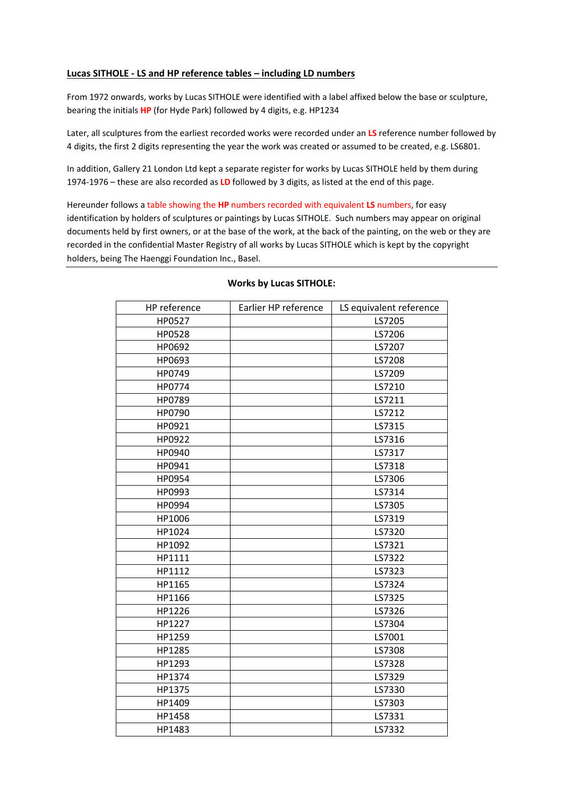## **Lucas SITHOLE ‐ LS and HP reference tables – including LD numbers**

From 1972 onwards, works by Lucas SITHOLE were identified with a label affixed below the base or sculpture, bearing the initials **HP** (for Hyde Park) followed by 4 digits, e.g. HP1234

Later, all sculptures from the earliest recorded works were recorded under an **LS** reference number followed by 4 digits, the first 2 digits representing the year the work was created or assumed to be created, e.g. LS6801.

In addition, Gallery 21 London Ltd kept a separate register for works by Lucas SITHOLE held by them during 1974‐1976 – these are also recorded as **LD** followed by 3 digits, as listed at the end of this page.

Hereunder follows a table showing the **HP** numbers recorded with equivalent **LS** numbers, for easy identification by holders of sculptures or paintings by Lucas SITHOLE. Such numbers may appear on original documents held by first owners, or at the base of the work, at the back of the painting, on the web or they are recorded in the confidential Master Registry of all works by Lucas SITHOLE which is kept by the copyright holders, being The Haenggi Foundation Inc., Basel.

| HP reference | Earlier HP reference | LS equivalent reference |
|--------------|----------------------|-------------------------|
| HP0527       |                      | LS7205                  |
| HP0528       |                      | LS7206                  |
| HP0692       |                      | LS7207                  |
| HP0693       |                      | LS7208                  |
| HP0749       |                      | LS7209                  |
| HP0774       |                      | LS7210                  |
| HP0789       |                      | LS7211                  |
| HP0790       |                      | LS7212                  |
| HP0921       |                      | LS7315                  |
| HP0922       |                      | LS7316                  |
| HP0940       |                      | LS7317                  |
| HP0941       |                      | LS7318                  |
| HP0954       |                      | LS7306                  |
| HP0993       |                      | LS7314                  |
| HP0994       |                      | LS7305                  |
| HP1006       |                      | LS7319                  |
| HP1024       |                      | LS7320                  |
| HP1092       |                      | LS7321                  |
| HP1111       |                      | LS7322                  |
| HP1112       |                      | LS7323                  |
| HP1165       |                      | LS7324                  |
| HP1166       |                      | LS7325                  |
| HP1226       |                      | LS7326                  |
| HP1227       |                      | LS7304                  |
| HP1259       |                      | LS7001                  |
| HP1285       |                      | LS7308                  |
| HP1293       |                      | LS7328                  |
| HP1374       |                      | LS7329                  |
| HP1375       |                      | LS7330                  |
| HP1409       |                      | LS7303                  |
| HP1458       |                      | LS7331                  |
| HP1483       |                      | LS7332                  |

## **Works by Lucas SITHOLE:**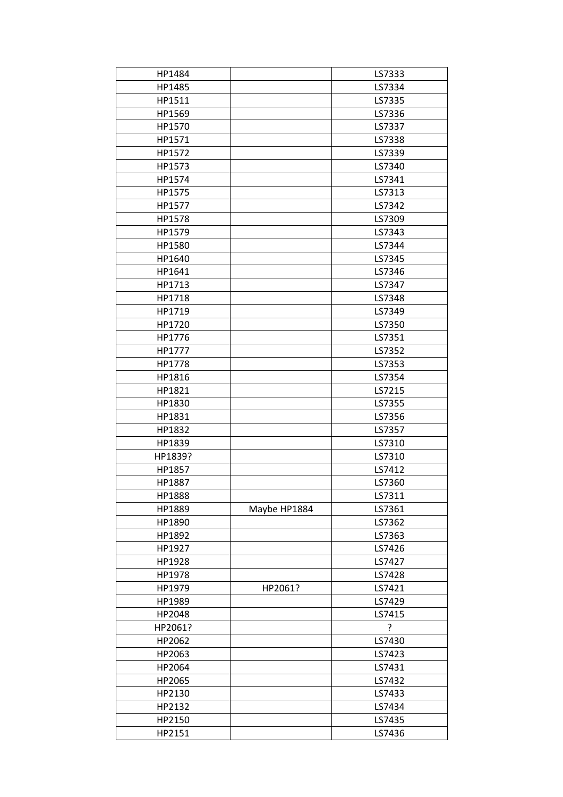| HP1484           |              | LS7333           |
|------------------|--------------|------------------|
| HP1485           |              | LS7334           |
| HP1511           |              | LS7335           |
| HP1569           |              | LS7336           |
| HP1570           |              | LS7337           |
| HP1571           |              | LS7338           |
| HP1572           |              | LS7339           |
| HP1573           |              | LS7340           |
| HP1574           |              | LS7341           |
| HP1575           |              | LS7313           |
| HP1577           |              | LS7342           |
| HP1578           |              | LS7309           |
| HP1579           |              | LS7343           |
| HP1580           |              | LS7344           |
| HP1640           |              | LS7345           |
| HP1641           |              | LS7346           |
| HP1713           |              | LS7347           |
| HP1718           |              | LS7348           |
| HP1719           |              | LS7349           |
| HP1720           |              | LS7350           |
| HP1776           |              | LS7351           |
| HP1777           |              | LS7352           |
| HP1778           |              | LS7353           |
| HP1816           |              | LS7354           |
|                  |              |                  |
| HP1821           |              | LS7215<br>LS7355 |
| HP1830<br>HP1831 |              | LS7356           |
| HP1832           |              | LS7357           |
|                  |              | LS7310           |
| HP1839           |              |                  |
| HP1839?          |              | LS7310           |
| HP1857           |              | LS7412           |
| HP1887           |              | LS7360           |
| HP1888           |              | LS7311           |
| HP1889           | Maybe HP1884 | LS7361           |
| HP1890           |              | LS7362           |
| HP1892           |              | LS7363           |
| HP1927           |              | LS7426           |
| HP1928           |              | LS7427           |
| HP1978           |              | LS7428           |
| HP1979           | HP2061?      | LS7421           |
| HP1989           |              | LS7429           |
| HP2048           |              | LS7415           |
| HP2061?          |              | ?                |
| HP2062           |              | LS7430           |
| HP2063           |              | LS7423           |
| HP2064           |              | LS7431           |
| HP2065           |              | LS7432           |
| HP2130           |              | LS7433           |
| HP2132           |              | LS7434           |
| HP2150           |              | LS7435           |
| HP2151           |              | LS7436           |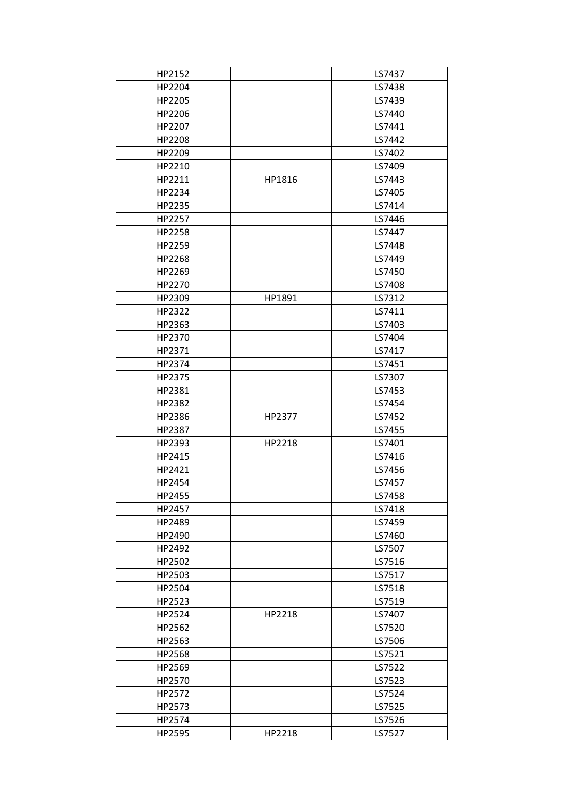| HP2152 |        | LS7437 |
|--------|--------|--------|
| HP2204 |        | LS7438 |
| HP2205 |        | LS7439 |
| HP2206 |        | LS7440 |
| HP2207 |        | LS7441 |
| HP2208 |        | LS7442 |
| HP2209 |        | LS7402 |
| HP2210 |        | LS7409 |
| HP2211 | HP1816 | LS7443 |
| HP2234 |        | LS7405 |
| HP2235 |        | LS7414 |
| HP2257 |        | LS7446 |
| HP2258 |        | LS7447 |
| HP2259 |        | LS7448 |
| HP2268 |        | LS7449 |
| HP2269 |        | LS7450 |
| HP2270 |        | LS7408 |
|        | HP1891 | LS7312 |
| HP2309 |        |        |
| HP2322 |        | LS7411 |
| HP2363 |        | LS7403 |
| HP2370 |        | LS7404 |
| HP2371 |        | LS7417 |
| HP2374 |        | LS7451 |
| HP2375 |        | LS7307 |
| HP2381 |        | LS7453 |
| HP2382 |        | LS7454 |
| HP2386 | HP2377 | LS7452 |
| HP2387 |        | LS7455 |
| HP2393 | HP2218 | LS7401 |
| HP2415 |        | LS7416 |
| HP2421 |        | LS7456 |
| HP2454 |        | LS7457 |
| HP2455 |        | LS7458 |
| HP2457 |        | LS7418 |
| HP2489 |        | LS7459 |
| HP2490 |        | LS7460 |
| HP2492 |        | LS7507 |
| HP2502 |        | LS7516 |
| HP2503 |        | LS7517 |
| HP2504 |        | LS7518 |
| HP2523 |        | LS7519 |
| HP2524 | HP2218 | LS7407 |
| HP2562 |        | LS7520 |
| HP2563 |        | LS7506 |
| HP2568 |        | LS7521 |
| HP2569 |        | LS7522 |
| HP2570 |        | LS7523 |
| HP2572 |        | LS7524 |
| HP2573 |        | LS7525 |
| HP2574 |        | LS7526 |
| HP2595 | HP2218 | LS7527 |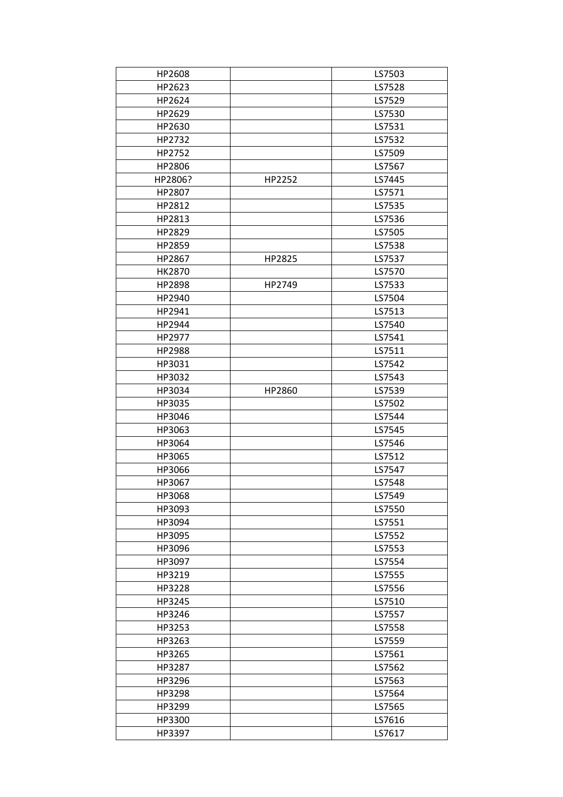| HP2608  |        | LS7503 |
|---------|--------|--------|
| HP2623  |        | LS7528 |
| HP2624  |        | LS7529 |
| HP2629  |        | LS7530 |
| HP2630  |        | LS7531 |
| HP2732  |        | LS7532 |
| HP2752  |        | LS7509 |
| HP2806  |        | LS7567 |
| HP2806? | HP2252 | LS7445 |
| HP2807  |        | LS7571 |
| HP2812  |        | LS7535 |
| HP2813  |        | LS7536 |
| HP2829  |        | LS7505 |
| HP2859  |        | LS7538 |
| HP2867  | HP2825 | LS7537 |
| HK2870  |        | LS7570 |
| HP2898  | HP2749 | LS7533 |
| HP2940  |        | LS7504 |
| HP2941  |        | LS7513 |
| HP2944  |        | LS7540 |
|         |        | LS7541 |
| HP2977  |        |        |
| HP2988  |        | LS7511 |
| HP3031  |        | LS7542 |
| HP3032  |        | LS7543 |
| HP3034  | HP2860 | LS7539 |
| HP3035  |        | LS7502 |
| HP3046  |        | LS7544 |
| HP3063  |        | LS7545 |
| HP3064  |        | LS7546 |
| HP3065  |        | LS7512 |
| HP3066  |        | LS7547 |
| HP3067  |        | LS7548 |
| HP3068  |        | LS7549 |
| HP3093  |        | LS7550 |
| HP3094  |        | LS7551 |
| HP3095  |        | LS7552 |
| HP3096  |        | LS7553 |
| HP3097  |        | LS7554 |
| HP3219  |        | LS7555 |
| HP3228  |        | LS7556 |
| HP3245  |        | LS7510 |
| HP3246  |        | LS7557 |
| HP3253  |        | LS7558 |
| HP3263  |        | LS7559 |
| HP3265  |        | LS7561 |
| HP3287  |        | LS7562 |
| HP3296  |        | LS7563 |
| HP3298  |        | LS7564 |
| HP3299  |        | LS7565 |
| HP3300  |        | LS7616 |
| HP3397  |        | LS7617 |
|         |        |        |